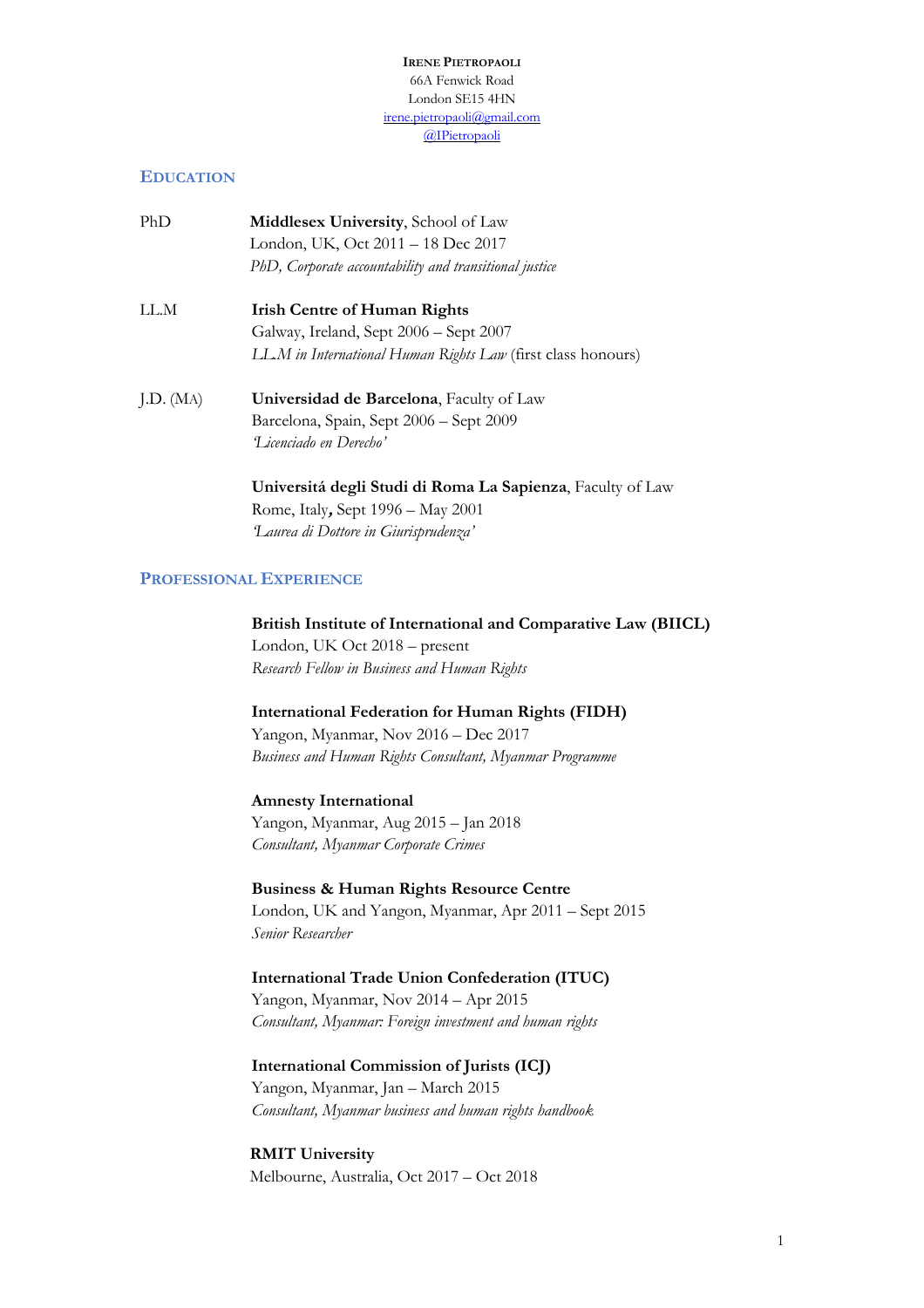**IRENE PIETROPAOLI** 66A Fenwick Road London SE15 4HN irene.pietropaoli@gmail.com @IPietropaoli

## **EDUCATION**

| PhD       | <b>Middlesex University, School of Law</b><br>London, UK, Oct 2011 – 18 Dec 2017 |
|-----------|----------------------------------------------------------------------------------|
|           | PhD, Corporate accountability and transitional justice                           |
| LL.M      | <b>Irish Centre of Human Rights</b>                                              |
|           | Galway, Ireland, Sept 2006 – Sept 2007                                           |
|           | LL.M in International Human Rights Law (first class honours)                     |
| J.D. (MA) | Universidad de Barcelona, Faculty of Law                                         |
|           | Barcelona, Spain, Sept 2006 - Sept 2009                                          |
|           | T icenciado en Derecho'                                                          |
|           |                                                                                  |

**Universitá degli Studi di Roma La Sapienza**, Faculty of Law Rome, Italy**,** Sept 1996 – May 2001 *'Laurea di Dottore in Giurisprudenza'*

## **PROFESSIONAL EXPERIENCE**

**British Institute of International and Comparative Law (BIICL)** London, UK Oct 2018 – present *Research Fellow in Business and Human Rights*

**International Federation for Human Rights (FIDH)** Yangon, Myanmar, Nov 2016 – Dec 2017

*Business and Human Rights Consultant, Myanmar Programme*

**Amnesty International** Yangon, Myanmar, Aug 2015 – Jan 2018 *Consultant, Myanmar Corporate Crimes*

**Business & Human Rights Resource Centre** London, UK and Yangon, Myanmar, Apr 2011 – Sept 2015 *Senior Researcher*

**International Trade Union Confederation (ITUC)** Yangon, Myanmar, Nov 2014 – Apr 2015 *Consultant, Myanmar: Foreign investment and human rights* 

**International Commission of Jurists (ICJ)** Yangon, Myanmar, Jan – March 2015 *Consultant, Myanmar business and human rights handbook*

**RMIT University** Melbourne, Australia, Oct 2017 – Oct 2018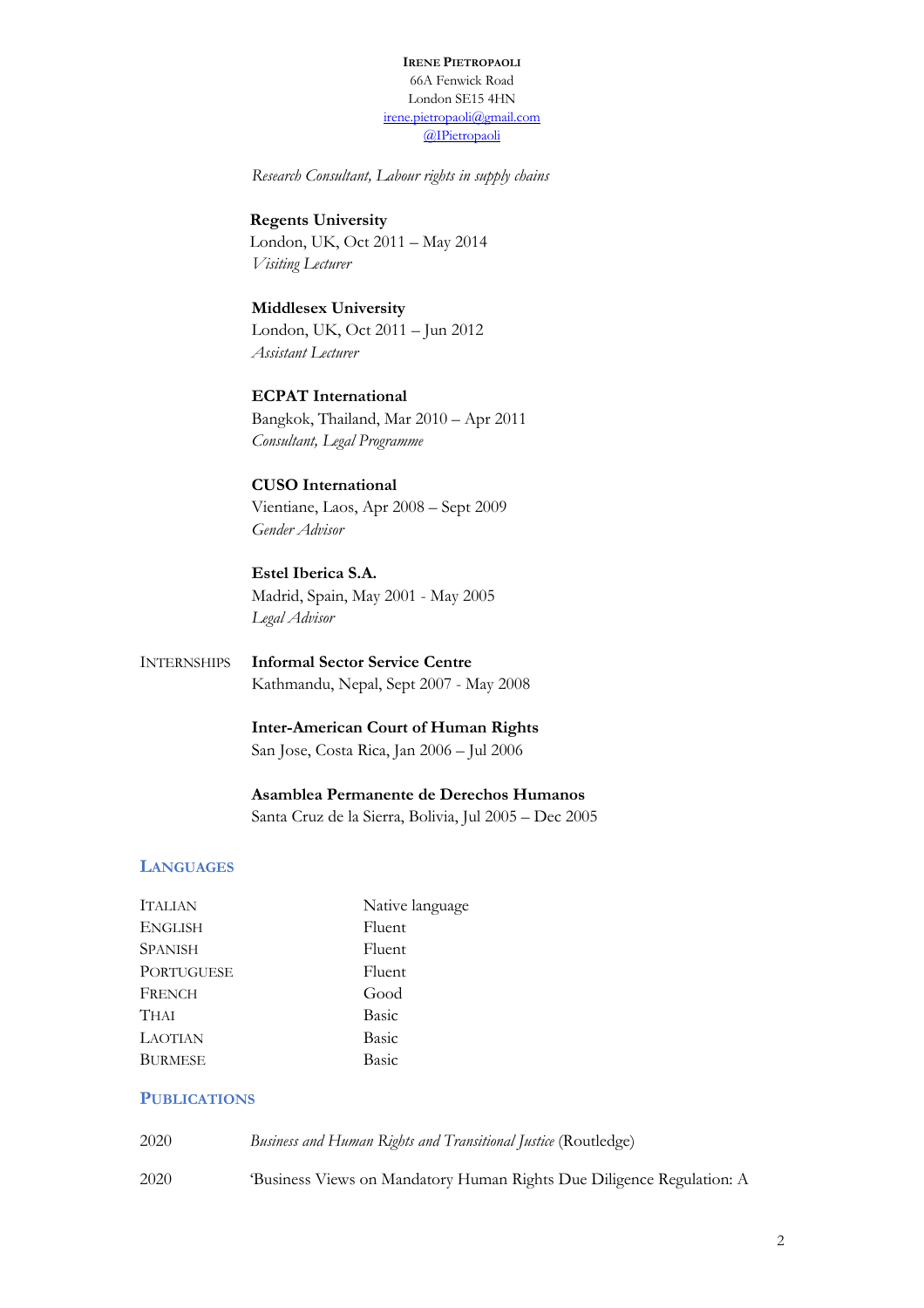**IRENE PIETROPAOLI** 66A Fenwick Road London SE15 4HN irene.pietropaoli@gmail.com @IPietropaoli

*Research Consultant, Labour rights in supply chains* 

**Regents University** London, UK, Oct 2011 – May 2014 *Visiting Lecturer*

**Middlesex University** London, UK, Oct 2011 – Jun 2012 *Assistant Lecturer*

**ECPAT International** Bangkok, Thailand, Mar 2010 – Apr 2011 *Consultant, Legal Programme*

**CUSO International** Vientiane, Laos, Apr 2008 – Sept 2009 *Gender Advisor*

**Estel Iberica S.A.** Madrid, Spain, May 2001 - May 2005 *Legal Advisor*

INTERNSHIPS **Informal Sector Service Centre** Kathmandu, Nepal, Sept 2007 - May 2008

> **Inter-American Court of Human Rights** San Jose, Costa Rica, Jan 2006 – Jul 2006

**Asamblea Permanente de Derechos Humanos**

Santa Cruz de la Sierra, Bolivia, Jul 2005 – Dec 2005

# **LANGUAGES**

| <b>ITALIAN</b>    | Native language |
|-------------------|-----------------|
| <b>ENGLISH</b>    | Fluent          |
| <b>SPANISH</b>    | Fluent          |
| <b>PORTUGUESE</b> | Fluent          |
| FRENCH            | Good            |
| <b>THAI</b>       | Basic           |
| <b>LAOTIAN</b>    | Basic           |
| <b>BURMESE</b>    | Basic           |
|                   |                 |

## **PUBLICATIONS**

| 2020 | Business and Human Rights and Transitional Justice (Routledge)       |
|------|----------------------------------------------------------------------|
| 2020 | Business Views on Mandatory Human Rights Due Diligence Regulation: A |